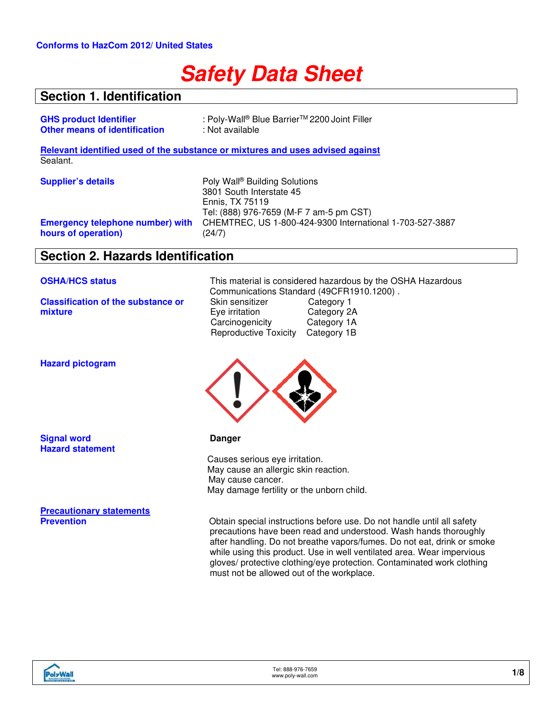# **Safety Data Sheet**

### **Section 1. Identification**

| <b>GHS product Identifier</b>                                  | : Poly-Wall® Blue Barrier™ 2200 Joint Filler                                                                                        |
|----------------------------------------------------------------|-------------------------------------------------------------------------------------------------------------------------------------|
| <b>Other means of identification</b>                           | : Not available                                                                                                                     |
|                                                                | Relevant identified used of the substance or mixtures and uses advised against                                                      |
| Sealant.                                                       |                                                                                                                                     |
| <b>Supplier's details</b>                                      | Poly Wall <sup>®</sup> Building Solutions<br>3801 South Interstate 45<br>Ennis, TX 75119<br>Tel: (888) 976-7659 (M-F 7 am-5 pm CST) |
| <b>Emergency telephone number) with</b><br>hours of operation) | CHEMTREC, US 1-800-424-9300 International 1-703-527-3887<br>(24/7)                                                                  |

### **Section 2. Hazards Identification**

**Classification of the substance or mixture**

**OSHA/HCS status** This material is considered hazardous by the OSHA Hazardous Communications Standard (49CFR1910.1200).<br>Skin sensitizer Category 1 Skin sensitizer Category 1<br>
Eye irritation Category 2A Eye irritation Category 2A<br>Carcinogenicity Category 1A **Carcinogenicity** Reproductive Toxicity Category 1B



precautions have been read and understood. Wash hands thoroughly after handling. Do not breathe vapors/fumes. Do not eat, drink or smoke while using this product. Use in well ventilated area. Wear impervious gloves/ protective clothing/eye protection. Contaminated work clothing must not be allowed out of the workplace.

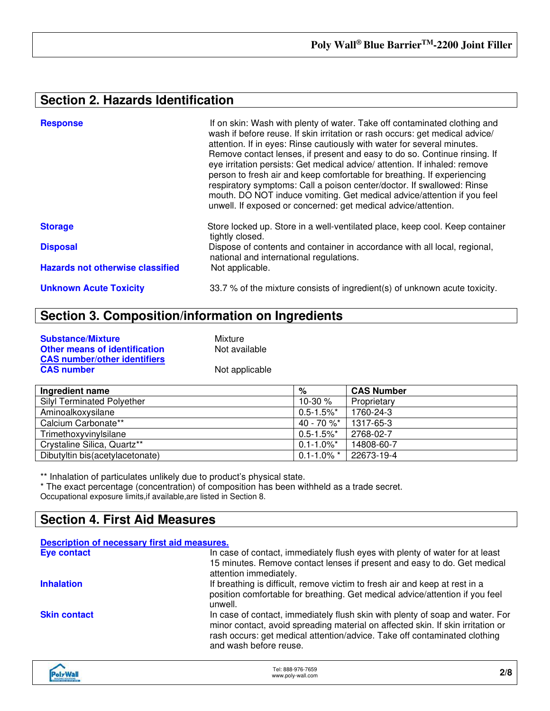### **Section 2. Hazards Identification**

| <b>Response</b>                         | If on skin: Wash with plenty of water. Take off contaminated clothing and<br>wash if before reuse. If skin irritation or rash occurs: get medical advice/<br>attention. If in eyes: Rinse cautiously with water for several minutes.<br>Remove contact lenses, if present and easy to do so. Continue rinsing. If<br>eye irritation persists: Get medical advice/ attention. If inhaled: remove<br>person to fresh air and keep comfortable for breathing. If experiencing<br>respiratory symptoms: Call a poison center/doctor. If swallowed: Rinse<br>mouth. DO NOT induce vomiting. Get medical advice/attention if you feel<br>unwell. If exposed or concerned: get medical advice/attention. |
|-----------------------------------------|---------------------------------------------------------------------------------------------------------------------------------------------------------------------------------------------------------------------------------------------------------------------------------------------------------------------------------------------------------------------------------------------------------------------------------------------------------------------------------------------------------------------------------------------------------------------------------------------------------------------------------------------------------------------------------------------------|
| <b>Storage</b>                          | Store locked up. Store in a well-ventilated place, keep cool. Keep container<br>tightly closed.                                                                                                                                                                                                                                                                                                                                                                                                                                                                                                                                                                                                   |
| <b>Disposal</b>                         | Dispose of contents and container in accordance with all local, regional,<br>national and international regulations.                                                                                                                                                                                                                                                                                                                                                                                                                                                                                                                                                                              |
| <b>Hazards not otherwise classified</b> | Not applicable.                                                                                                                                                                                                                                                                                                                                                                                                                                                                                                                                                                                                                                                                                   |
| <b>Unknown Acute Toxicity</b>           | 33.7 % of the mixture consists of ingredient(s) of unknown acute toxicity.                                                                                                                                                                                                                                                                                                                                                                                                                                                                                                                                                                                                                        |

## **Section 3. Composition/information on Ingredients**

| <b>Substance/Mixture</b>             |
|--------------------------------------|
| <b>Other means of identification</b> |
| <b>CAS number/other identifiers</b>  |
| <b>CAS number</b>                    |

**Mixture Not available** 

**Not applicable** 

| Ingredient name                   | %                          | <b>CAS Number</b> |
|-----------------------------------|----------------------------|-------------------|
| <b>Silyl Terminated Polyether</b> | 10-30 $%$                  | Proprietary       |
| Aminoalkoxysilane                 | $0.5 - 1.5\%$ *            | 1760-24-3         |
| Calcium Carbonate**               | 40 - 70 %*                 | 1317-65-3         |
| Trimethoxyvinylsilane             | $0.5 - 1.5\%$ *            | 2768-02-7         |
| Crystaline Silica, Quartz**       | $0.1 - 1.0\%$ <sup>*</sup> | 14808-60-7        |
| Dibutyltin bis(acetylacetonate)   | $0.1 - 1.0\%$ *            | 22673-19-4        |

\*\* Inhalation of particulates unlikely due to product's physical state.

\* The exact percentage (concentration) of composition has been withheld as a trade secret. Occupational exposure limits,if available,are listed in Section 8.

### **Section 4. First Aid Measures**

| Description of necessary first aid measures. |                                                                                                                                                                                                                                                                         |
|----------------------------------------------|-------------------------------------------------------------------------------------------------------------------------------------------------------------------------------------------------------------------------------------------------------------------------|
| <b>Eye contact</b>                           | In case of contact, immediately flush eyes with plenty of water for at least<br>15 minutes. Remove contact lenses if present and easy to do. Get medical<br>attention immediately.                                                                                      |
| <b>Inhalation</b>                            | If breathing is difficult, remove victim to fresh air and keep at rest in a<br>position comfortable for breathing. Get medical advice/attention if you feel<br>unwell.                                                                                                  |
| <b>Skin contact</b>                          | In case of contact, immediately flush skin with plenty of soap and water. For<br>minor contact, avoid spreading material on affected skin. If skin irritation or<br>rash occurs: get medical attention/advice. Take off contaminated clothing<br>and wash before reuse. |
|                                              |                                                                                                                                                                                                                                                                         |

| <b>HeWyle</b>                  | Tel: 888-976-7659 |     |
|--------------------------------|-------------------|-----|
| <b>BIRLOWG SOLUTION</b>        | www.poly-wall.com | 2/8 |
| <b>THE ANIMALS OF BUILDING</b> |                   |     |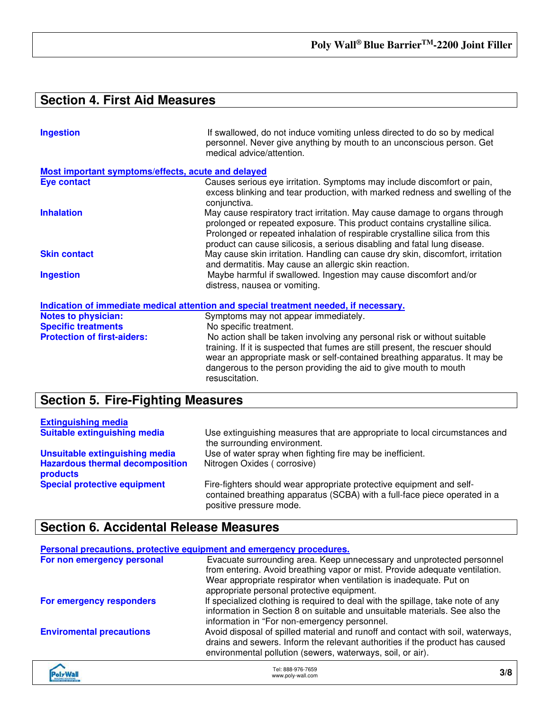### **Section 4. First Aid Measures**

| <b>Ingestion</b>                                   | If swallowed, do not induce vomiting unless directed to do so by medical<br>personnel. Never give anything by mouth to an unconscious person. Get<br>medical advice/attention.                                                                                                                                     |
|----------------------------------------------------|--------------------------------------------------------------------------------------------------------------------------------------------------------------------------------------------------------------------------------------------------------------------------------------------------------------------|
| Most important symptoms/effects, acute and delayed |                                                                                                                                                                                                                                                                                                                    |
| <b>Eye contact</b>                                 | Causes serious eye irritation. Symptoms may include discomfort or pain,<br>excess blinking and tear production, with marked redness and swelling of the<br>conjunctiva.                                                                                                                                            |
| <b>Inhalation</b>                                  | May cause respiratory tract irritation. May cause damage to organs through<br>prolonged or repeated exposure. This product contains crystalline silica.<br>Prolonged or repeated inhalation of respirable crystalline silica from this<br>product can cause silicosis, a serious disabling and fatal lung disease. |
| <b>Skin contact</b>                                | May cause skin irritation. Handling can cause dry skin, discomfort, irritation<br>and dermatitis. May cause an allergic skin reaction.                                                                                                                                                                             |
| <b>Ingestion</b>                                   | Maybe harmful if swallowed. Ingestion may cause discomfort and/or<br>distress, nausea or vomiting.                                                                                                                                                                                                                 |
|                                                    | Indication of immediate medical attention and special treatment needed, if necessary.                                                                                                                                                                                                                              |
| <b>Notes to physician:</b>                         | Symptoms may not appear immediately.                                                                                                                                                                                                                                                                               |
| <b>Specific treatments</b>                         | No specific treatment.                                                                                                                                                                                                                                                                                             |
| <b>Protection of first-aiders:</b>                 | No action shall be taken involving any personal risk or without suitable<br>training. If it is suspected that fumes are still present, the rescuer should<br>wear an appropriate mask or self-contained breathing apparatus. It may be<br>dangerous to the person providing the aid to give mouth to mouth         |

## **Section 5. Fire-Fighting Measures**

| <b>Extinguishing media</b>                         |                                                                                                                                                                              |
|----------------------------------------------------|------------------------------------------------------------------------------------------------------------------------------------------------------------------------------|
| <b>Suitable extinguishing media</b>                | Use extinguishing measures that are appropriate to local circumstances and<br>the surrounding environment.                                                                   |
| Unsuitable extinguishing media                     | Use of water spray when fighting fire may be inefficient.                                                                                                                    |
| <b>Hazardous thermal decomposition</b><br>products | Nitrogen Oxides (corrosive)                                                                                                                                                  |
| <b>Special protective equipment</b>                | Fire-fighters should wear appropriate protective equipment and self-<br>contained breathing apparatus (SCBA) with a full-face piece operated in a<br>positive pressure mode. |

resuscitation.

### **Section 6. Accidental Release Measures**

|                                 | Personal precautions, protective equipment and emergency procedures.                                                                                                                                                                                         |
|---------------------------------|--------------------------------------------------------------------------------------------------------------------------------------------------------------------------------------------------------------------------------------------------------------|
| For non emergency personal      | Evacuate surrounding area. Keep unnecessary and unprotected personnel<br>from entering. Avoid breathing vapor or mist. Provide adequate ventilation.<br>Wear appropriate respirator when ventilation is inadequate. Put on                                   |
| For emergency responders        | appropriate personal protective equipment.<br>If specialized clothing is required to deal with the spillage, take note of any<br>information in Section 8 on suitable and unsuitable materials. See also the<br>information in "For non-emergency personnel. |
| <b>Enviromental precautions</b> | Avoid disposal of spilled material and runoff and contact with soil, waterways,<br>drains and sewers. Inform the relevant authorities if the product has caused<br>environmental pollution (sewers, waterways, soil, or air).                                |
|                                 |                                                                                                                                                                                                                                                              |

| alw Walle<br><b>BIRLOWG SOUTHONS</b><br><b>CONTRACTOR</b> | Tel: 888-976-7659<br>.<br>www.poly-wall.com | 3/8 |
|-----------------------------------------------------------|---------------------------------------------|-----|
|-----------------------------------------------------------|---------------------------------------------|-----|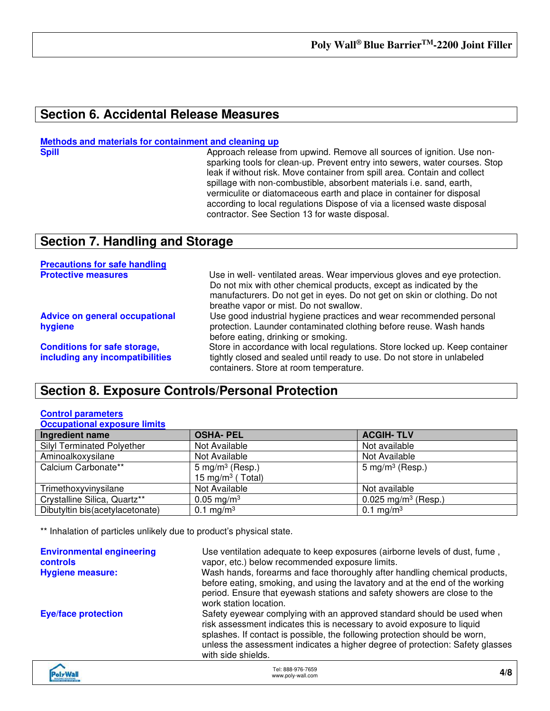### **Section 6. Accidental Release Measures**

### **Methods and materials for containment and cleaning up**

**Spill Approach release from upwind. Remove all sources of ignition. Use non**sparking tools for clean-up. Prevent entry into sewers, water courses. Stop leak if without risk. Move container from spill area. Contain and collect spillage with non-combustible, absorbent materials i.e. sand, earth, vermiculite or diatomaceous earth and place in container for disposal according to local regulations Dispose of via a licensed waste disposal contractor. See Section 13 for waste disposal.

### **Section 7. Handling and Storage**

| <b>Precautions for safe handling</b>                                   |                                                                                                                                                                                                                                                                         |
|------------------------------------------------------------------------|-------------------------------------------------------------------------------------------------------------------------------------------------------------------------------------------------------------------------------------------------------------------------|
| <b>Protective measures</b>                                             | Use in well- ventilated areas. Wear impervious gloves and eye protection.<br>Do not mix with other chemical products, except as indicated by the<br>manufacturers. Do not get in eyes. Do not get on skin or clothing. Do not<br>breathe vapor or mist. Do not swallow. |
| <b>Advice on general occupational</b><br>hygiene                       | Use good industrial hygiene practices and wear recommended personal<br>protection. Launder contaminated clothing before reuse. Wash hands<br>before eating, drinking or smoking.                                                                                        |
| <b>Conditions for safe storage,</b><br>including any incompatibilities | Store in accordance with local regulations. Store locked up. Keep container<br>tightly closed and sealed until ready to use. Do not store in unlabeled<br>containers. Store at room temperature.                                                                        |

### **Section 8. Exposure Controls/Personal Protection**

#### **Control parameters Occupational exposure limits**

| Ingredient name                   | <b>OSHA-PEL</b>                                             | <b>ACGIH-TLV</b>                |
|-----------------------------------|-------------------------------------------------------------|---------------------------------|
| <b>Silyl Terminated Polyether</b> | Not Available                                               | Not available                   |
| Aminoalkoxysilane                 | Not Available                                               | Not Available                   |
| Calcium Carbonate**               | 5 mg/m <sup>3</sup> (Resp.)<br>15 mg/m <sup>3</sup> (Total) | $5 \text{ mg/m}^3$ (Resp.)      |
| Trimethoxyvinysilane              | Not Available                                               | Not available                   |
| Crystalline Silica, Quartz**      | $0.05 \,\mathrm{mg/m^3}$                                    | 0.025 mg/m <sup>3</sup> (Resp.) |
| Dibutyltin bis(acetylacetonate)   | 0.1 mg/m <sup>3</sup>                                       | 0.1 mg/m <sup>3</sup>           |

\*\* Inhalation of particles unlikely due to product's physical state.

| <b>Environmental engineering</b><br><b>controls</b><br><b>Hygiene measure:</b> | Use ventilation adequate to keep exposures (airborne levels of dust, fume,<br>vapor, etc.) below recommended exposure limits.<br>Wash hands, forearms and face thoroughly after handling chemical products,<br>before eating, smoking, and using the lavatory and at the end of the working<br>period. Ensure that eyewash stations and safety showers are close to the<br>work station location. |
|--------------------------------------------------------------------------------|---------------------------------------------------------------------------------------------------------------------------------------------------------------------------------------------------------------------------------------------------------------------------------------------------------------------------------------------------------------------------------------------------|
| <b>Eye/face protection</b>                                                     | Safety eyewear complying with an approved standard should be used when<br>risk assessment indicates this is necessary to avoid exposure to liquid<br>splashes. If contact is possible, the following protection should be worn,<br>unless the assessment indicates a higher degree of protection: Safety glasses<br>with side shields.                                                            |
|                                                                                |                                                                                                                                                                                                                                                                                                                                                                                                   |

| <b>voly Wall</b><br><b>BIROING SOLUTIONS</b><br><b>IST AND AIR STOP AND</b> | Tel: 888-976-7659<br>www.poly-wall.com | 4/8 |
|-----------------------------------------------------------------------------|----------------------------------------|-----|
|-----------------------------------------------------------------------------|----------------------------------------|-----|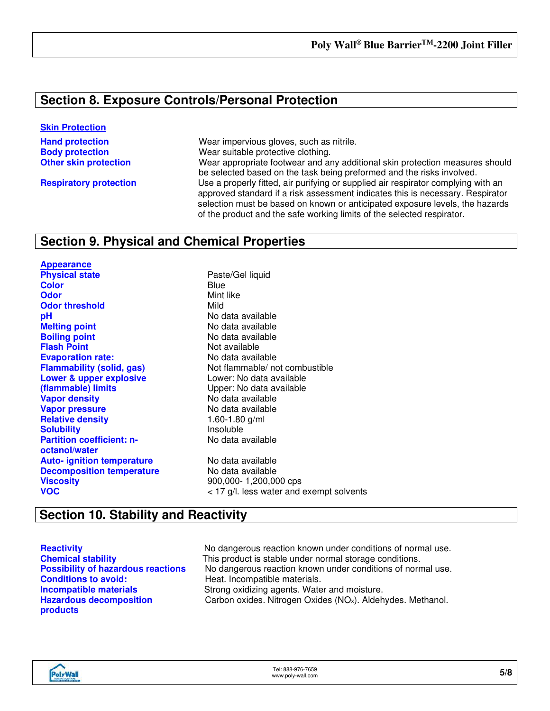### **Section 8. Exposure Controls/Personal Protection**

### **Skin Protection**

**Hand protection Wear impervious gloves, such as nitrile. Body protection** Wear suitable protective clothing. **Other skin protection** Wear appropriate footwear and any additional skin protection measures should be selected based on the task being preformed and the risks involved. **Respiratory protection** Use a properly fitted, air purifying or supplied air respirator complying with an approved standard if a risk assessment indicates this is necessary. Respirator selection must be based on known or anticipated exposure levels, the hazards of the product and the safe working limits of the selected respirator.

### **Section 9. Physical and Chemical Properties**

**Appearance Physical state Physical state Paste/Gel liquid Color** Blue **Odor** Mint like **Odor threshold** Mild **pH**<br> **pH** No data available<br> **Melting point** COM No data available **Boiling point**<br> **Boiling point**<br> **Elash Point**<br> **Claudion**<br>
Not available **Evaporation rate: Lower & upper explosive (flammable) limits Vapor density** No data available **Vapor pressure**<br> **Relative density**<br> **Relative density**<br> **Relative density**<br> **Relative density**<br> **Relative density Relative density Solubility Insoluble Partition coefficient: noctanol/water Auto- ignition temperature** No data available **Decomposition temperature** No data available **Viscosity** 900,000- 1,200,000 cps **VOC** VOC **VOC** And the same solvents water and exempt solvents

**Melting point** No data available Not available<br>No data available **Flammability (solid, gas)** Not flammable/ not combustible Lower: No data available Upper: No data available No data available

### **Section 10. Stability and Reactivity**

**Conditions to avoid:** Heat. Incompatible materials. **Hazardous decomposition products**

**Reactivity Reactivity No dangerous reaction known under conditions of normal use. Chemical stability** This product is stable under normal storage conditions. **Possibility of hazardous reactions** No dangerous reaction known under conditions of normal use. **Incompatible materials Strong oxidizing agents. Water and moisture.** Carbon oxides. Nitrogen Oxides (NOx). Aldehydes. Methanol.

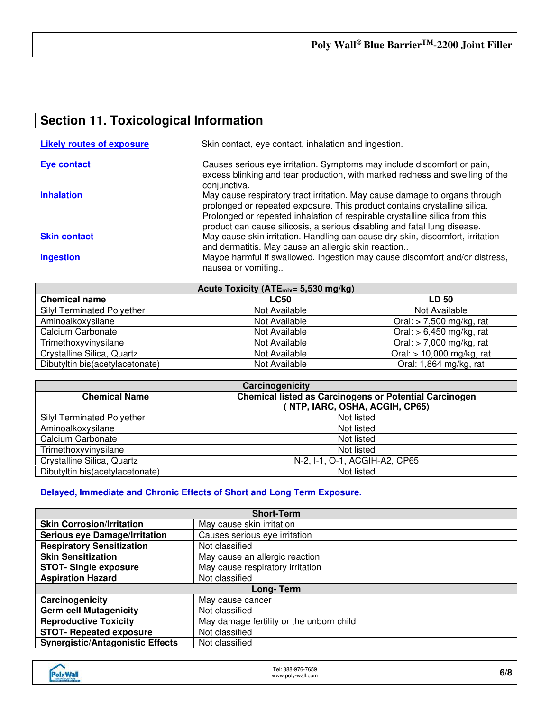## **Section 11. Toxicological Information**

| <b>Likely routes of exposure</b> | Skin contact, eye contact, inhalation and ingestion.                                                                                                                                                                                                                                                               |
|----------------------------------|--------------------------------------------------------------------------------------------------------------------------------------------------------------------------------------------------------------------------------------------------------------------------------------------------------------------|
| Eye contact                      | Causes serious eye irritation. Symptoms may include discomfort or pain,<br>excess blinking and tear production, with marked redness and swelling of the<br>conjunctiva.                                                                                                                                            |
| <b>Inhalation</b>                | May cause respiratory tract irritation. May cause damage to organs through<br>prolonged or repeated exposure. This product contains crystalline silica.<br>Prolonged or repeated inhalation of respirable crystalline silica from this<br>product can cause silicosis, a serious disabling and fatal lung disease. |
| <b>Skin contact</b>              | May cause skin irritation. Handling can cause dry skin, discomfort, irritation<br>and dermatitis. May cause an allergic skin reaction                                                                                                                                                                              |
| <b>Ingestion</b>                 | Maybe harmful if swallowed. Ingestion may cause discomfort and/or distress,<br>nausea or vomiting                                                                                                                                                                                                                  |

| Acute Toxicity ( $ATE_{mix} = 5,530$ mg/kg) |               |                             |
|---------------------------------------------|---------------|-----------------------------|
| <b>Chemical name</b>                        | <b>LC50</b>   | <b>LD 50</b>                |
| <b>Silyl Terminated Polyether</b>           | Not Available | Not Available               |
| Aminoalkoxysilane                           | Not Available | Oral: $> 7,500$ mg/kg, rat  |
| Calcium Carbonate                           | Not Available | Oral: $> 6,450$ mg/kg, rat  |
| Trimethoxyvinysilane                        | Not Available | Oral: $>$ 7,000 mg/kg, rat  |
| Crystalline Silica, Quartz                  | Not Available | Oral: $> 10,000$ mg/kg, rat |
| Dibutyltin bis(acetylacetonate)             | Not Available | Oral: 1,864 mg/kg, rat      |

| Carcinogenicity                                                                       |                                |  |
|---------------------------------------------------------------------------------------|--------------------------------|--|
| <b>Chemical listed as Carcinogens or Potential Carcinogen</b><br><b>Chemical Name</b> |                                |  |
|                                                                                       | (NTP, IARC, OSHA, ACGIH, CP65) |  |
| <b>Silyl Terminated Polyether</b>                                                     | Not listed                     |  |
| Aminoalkoxysilane                                                                     | Not listed                     |  |
| Calcium Carbonate                                                                     | Not listed                     |  |
| Trimethoxyvinysilane                                                                  | Not listed                     |  |
| Crystalline Silica, Quartz                                                            | N-2, I-1, O-1, ACGIH-A2, CP65  |  |
| Dibutyltin bis(acetylacetonate)                                                       | Not listed                     |  |

### **Delayed, Immediate and Chronic Effects of Short and Long Term Exposure.**

| <b>Short-Term</b>                       |                                          |  |
|-----------------------------------------|------------------------------------------|--|
| <b>Skin Corrosion/Irritation</b>        | May cause skin irritation                |  |
| <b>Serious eye Damage/Irritation</b>    | Causes serious eye irritation            |  |
| <b>Respiratory Sensitization</b>        | Not classified                           |  |
| <b>Skin Sensitization</b>               | May cause an allergic reaction           |  |
| <b>STOT-Single exposure</b>             | May cause respiratory irritation         |  |
| <b>Aspiration Hazard</b>                | Not classified                           |  |
| Long-Term                               |                                          |  |
| Carcinogenicity                         | May cause cancer                         |  |
| <b>Germ cell Mutagenicity</b>           | Not classified                           |  |
| <b>Reproductive Toxicity</b>            | May damage fertility or the unborn child |  |
| <b>STOT- Repeated exposure</b>          | Not classified                           |  |
| <b>Synergistic/Antagonistic Effects</b> | Not classified                           |  |

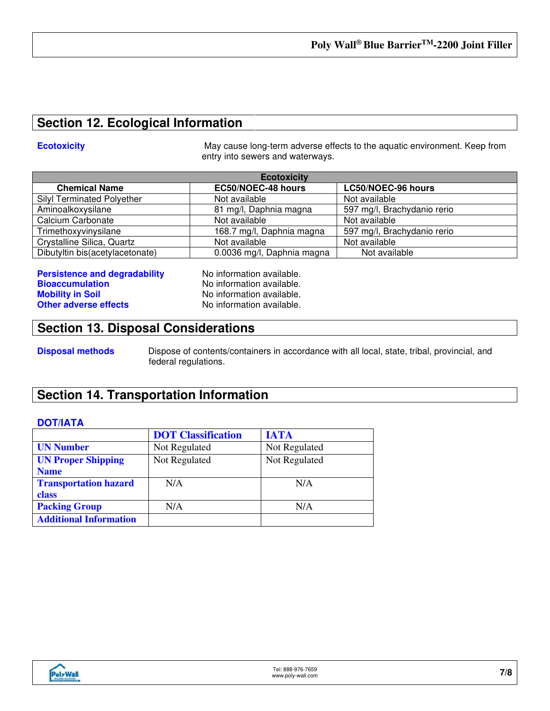### **Section 12. Ecological Information**

**Ecotoxicity Example 20 May cause long-term adverse effects to the aquatic environment. Keep from** entry into sewers and waterways.

| <b>Ecotoxicity</b>                |                            |                             |
|-----------------------------------|----------------------------|-----------------------------|
| <b>Chemical Name</b>              | EC50/NOEC-48 hours         | LC50/NOEC-96 hours          |
| <b>Silyl Terminated Polyether</b> | Not available              | Not available               |
| Aminoalkoxysilane                 | 81 mg/l, Daphnia magna     | 597 mg/l, Brachydanio rerio |
| Calcium Carbonate                 | Not available              | Not available               |
| Trimethoxyvinysilane              | 168.7 mg/l, Daphnia magna  | 597 mg/l, Brachydanio rerio |
| Crystalline Silica, Quartz        | Not available              | Not available               |
| Dibutyltin bis(acetylacetonate)   | 0.0036 mg/l, Daphnia magna | Not available               |

| <b>Persistence and degradability</b> |  |
|--------------------------------------|--|
| <b>Bioaccumulation</b>               |  |
| <b>Mobility in Soil</b>              |  |
| <b>Other adverse effects</b>         |  |

**Performation available.** No information available. No information available. No information available.

### **Section 13. Disposal Considerations**

**Disposal methods** Dispose of contents/containers in accordance with all local, state, tribal, provincial, and federal regulations.

### **Section 14. Transportation Information**

### **DOT/IATA**

|                               | <b>DOT</b> Classification | <b>IATA</b>   |
|-------------------------------|---------------------------|---------------|
| <b>UN Number</b>              | Not Regulated             | Not Regulated |
| <b>UN Proper Shipping</b>     | Not Regulated             | Not Regulated |
| <b>Name</b>                   |                           |               |
| <b>Transportation hazard</b>  | N/A                       | N/A           |
| class                         |                           |               |
| <b>Packing Group</b>          | N/A                       | N/A           |
| <b>Additional Information</b> |                           |               |